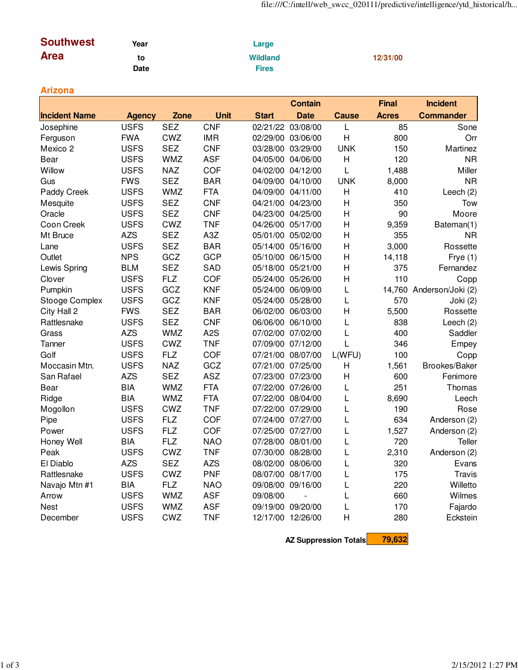| <b>Southwest</b> | Year | Large           |          |  |
|------------------|------|-----------------|----------|--|
| <b>Area</b>      | to   | <b>Wildland</b> | 12/31/00 |  |
|                  | Date | Fires           |          |  |

## **Arizona**

|                      |               |            |                  |                   | <b>Contain</b>    |                | <b>Final</b> | <b>Incident</b>          |
|----------------------|---------------|------------|------------------|-------------------|-------------------|----------------|--------------|--------------------------|
| <b>Incident Name</b> | <b>Agency</b> | Zone       | Unit             | <b>Start</b>      | <b>Date</b>       | <b>Cause</b>   | <b>Acres</b> | <b>Commander</b>         |
| Josephine            | <b>USFS</b>   | <b>SEZ</b> | <b>CNF</b>       | 02/21/22          | 03/08/00          | L              | 85           | Sone                     |
| Ferguson             | <b>FWA</b>    | CWZ        | <b>IMR</b>       |                   | 02/29/00 03/06/00 | $\overline{H}$ | 800          | Orr                      |
| Mexico 2             | <b>USFS</b>   | <b>SEZ</b> | <b>CNF</b>       | 03/28/00 03/29/00 |                   | <b>UNK</b>     | 150          | Martinez                 |
| Bear                 | <b>USFS</b>   | <b>WMZ</b> | <b>ASF</b>       | 04/05/00 04/06/00 |                   | H              | 120          | <b>NR</b>                |
| Willow               | <b>USFS</b>   | <b>NAZ</b> | COF              | 04/02/00 04/12/00 |                   | L              | 1,488        | Miller                   |
| Gus                  | <b>FWS</b>    | <b>SEZ</b> | <b>BAR</b>       | 04/09/00 04/10/00 |                   | <b>UNK</b>     | 8,000        | <b>NR</b>                |
| Paddy Creek          | <b>USFS</b>   | <b>WMZ</b> | <b>FTA</b>       | 04/09/00 04/11/00 |                   | H              | 410          | Leech (2)                |
| Mesquite             | <b>USFS</b>   | <b>SEZ</b> | <b>CNF</b>       | 04/21/00 04/23/00 |                   | H              | 350          | Tow                      |
| Oracle               | <b>USFS</b>   | <b>SEZ</b> | <b>CNF</b>       | 04/23/00 04/25/00 |                   | H              | 90           | Moore                    |
| Coon Creek           | <b>USFS</b>   | CWZ        | <b>TNF</b>       | 04/26/00 05/17/00 |                   | $\overline{H}$ | 9,359        | Bateman(1)               |
| Mt Bruce             | <b>AZS</b>    | <b>SEZ</b> | A3Z              | 05/01/00 05/02/00 |                   | $\overline{H}$ | 355          | <b>NR</b>                |
| Lane                 | <b>USFS</b>   | <b>SEZ</b> | <b>BAR</b>       | 05/14/00 05/16/00 |                   | H              | 3,000        | Rossette                 |
| Outlet               | <b>NPS</b>    | GCZ        | <b>GCP</b>       | 05/10/00 06/15/00 |                   | $\overline{H}$ | 14,118       | Frye $(1)$               |
| Lewis Spring         | <b>BLM</b>    | <b>SEZ</b> | SAD              | 05/18/00 05/21/00 |                   | $\overline{H}$ | 375          | Fernandez                |
| Clover               | <b>USFS</b>   | <b>FLZ</b> | COF              | 05/24/00 05/26/00 |                   | $\overline{H}$ | 110          | Copp                     |
| Pumpkin              | <b>USFS</b>   | GCZ        | <b>KNF</b>       | 05/24/00 06/09/00 |                   | L              |              | 14,760 Anderson/Joki (2) |
| Stooge Complex       | <b>USFS</b>   | GCZ        | <b>KNF</b>       | 05/24/00 05/28/00 |                   | L              | 570          | Joki (2)                 |
| City Hall 2          | <b>FWS</b>    | <b>SEZ</b> | <b>BAR</b>       | 06/02/00 06/03/00 |                   | H              | 5,500        | Rossette                 |
| Rattlesnake          | <b>USFS</b>   | <b>SEZ</b> | <b>CNF</b>       | 06/06/00 06/10/00 |                   | L              | 838          | Leech (2)                |
| Grass                | <b>AZS</b>    | <b>WMZ</b> | A <sub>2</sub> S | 07/02/00          | 07/02/00          | L              | 400          | Saddler                  |
| Tanner               | <b>USFS</b>   | CWZ        | <b>TNF</b>       | 07/09/00 07/12/00 |                   | L              | 346          | Empey                    |
| Golf                 | <b>USFS</b>   | <b>FLZ</b> | COF              |                   | 07/21/00 08/07/00 | L(WFU)         | 100          | Copp                     |
| Moccasin Mtn.        | <b>USFS</b>   | <b>NAZ</b> | GCZ              | 07/21/00 07/25/00 |                   | $\overline{H}$ | 1,561        | Brookes/Baker            |
| San Rafael           | <b>AZS</b>    | <b>SEZ</b> | <b>ASZ</b>       | 07/23/00 07/23/00 |                   | $\overline{H}$ | 600          | Fenimore                 |
| Bear                 | <b>BIA</b>    | <b>WMZ</b> | <b>FTA</b>       | 07/22/00 07/26/00 |                   | L              | 251          | Thomas                   |
| Ridge                | <b>BIA</b>    | <b>WMZ</b> | <b>FTA</b>       | 07/22/00 08/04/00 |                   | L              | 8,690        | Leech                    |
| Mogollon             | <b>USFS</b>   | <b>CWZ</b> | <b>TNF</b>       | 07/22/00 07/29/00 |                   | L              | 190          | Rose                     |
| Pipe                 | <b>USFS</b>   | <b>FLZ</b> | COF              | 07/24/00 07/27/00 |                   | L              | 634          | Anderson (2)             |
| Power                | <b>USFS</b>   | <b>FLZ</b> | COF              | 07/25/00 07/27/00 |                   | L              | 1,527        | Anderson (2)             |
| Honey Well           | <b>BIA</b>    | <b>FLZ</b> | <b>NAO</b>       | 07/28/00 08/01/00 |                   | L              | 720          | <b>Teller</b>            |
| Peak                 | <b>USFS</b>   | CWZ        | <b>TNF</b>       | 07/30/00 08/28/00 |                   | L              | 2,310        | Anderson (2)             |
| El Diablo            | <b>AZS</b>    | <b>SEZ</b> | <b>AZS</b>       | 08/02/00 08/06/00 |                   | L              | 320          | Evans                    |
| Rattlesnake          | <b>USFS</b>   | CWZ        | <b>PNF</b>       | 08/07/00 08/17/00 |                   | L              | 175          | <b>Travis</b>            |
| Navajo Mtn #1        | <b>BIA</b>    | <b>FLZ</b> | <b>NAO</b>       | 09/08/00 09/16/00 |                   | L              | 220          | Willetto                 |
| Arrow                | <b>USFS</b>   | <b>WMZ</b> | <b>ASF</b>       | 09/08/00          | $\overline{a}$    | L              | 660          | Wilmes                   |
| Nest                 | <b>USFS</b>   | <b>WMZ</b> | <b>ASF</b>       | 09/19/00 09/20/00 |                   | L              | 170          | Fajardo                  |
| December             | <b>USFS</b>   | CWZ        | <b>TNF</b>       | 12/17/00 12/26/00 |                   | $\overline{H}$ | 280          | Eckstein                 |

**AZ Suppression Totals 79,632**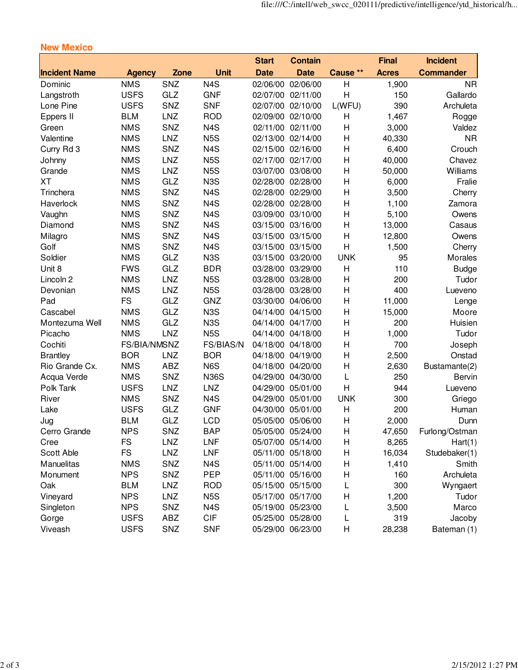|                      |               |            |                  | <b>Start</b> | <b>Contain</b>    |                | <b>Final</b> | <b>Incident</b>  |
|----------------------|---------------|------------|------------------|--------------|-------------------|----------------|--------------|------------------|
| <b>Incident Name</b> | <b>Agency</b> | Zone       | <b>Unit</b>      | <b>Date</b>  | <b>Date</b>       | Cause **       | <b>Acres</b> | <b>Commander</b> |
| Dominic              | <b>NMS</b>    | SNZ        | N <sub>4</sub> S | 02/06/00     | 02/06/00          | H              | 1,900        | <b>NR</b>        |
| Langstroth           | <b>USFS</b>   | GLZ        | <b>GNF</b>       | 02/07/00     | 02/11/00          | $\overline{H}$ | 150          | Gallardo         |
| Lone Pine            | <b>USFS</b>   | SNZ        | <b>SNF</b>       |              | 02/07/00 02/10/00 | L(WFU)         | 390          | Archuleta        |
| Eppers II            | <b>BLM</b>    | <b>LNZ</b> | <b>ROD</b>       |              | 02/09/00 02/10/00 | Н              | 1,467        | Rogge            |
| Green                | <b>NMS</b>    | SNZ        | N <sub>4</sub> S |              | 02/11/00 02/11/00 | Η              | 3,000        | Valdez           |
| Valentine            | <b>NMS</b>    | <b>LNZ</b> | N <sub>5</sub> S |              | 02/13/00 02/14/00 | Н              | 40,330       | <b>NR</b>        |
| Curry Rd 3           | <b>NMS</b>    | SNZ        | N <sub>4</sub> S |              | 02/15/00 02/16/00 | Η              | 6,400        | Crouch           |
| Johnny               | <b>NMS</b>    | <b>LNZ</b> | N <sub>5</sub> S |              | 02/17/00 02/17/00 | Н              | 40,000       | Chavez           |
| Grande               | <b>NMS</b>    | <b>LNZ</b> | N <sub>5</sub> S |              | 03/07/00 03/08/00 | H              | 50,000       | Williams         |
| <b>XT</b>            | <b>NMS</b>    | GLZ        | N <sub>3</sub> S |              | 02/28/00 02/28/00 | Η              | 6,000        | Fralie           |
| Trinchera            | <b>NMS</b>    | SNZ        | N <sub>4</sub> S |              | 02/28/00 02/29/00 | Н              | 3,500        | Cherry           |
| Haverlock            | <b>NMS</b>    | SNZ        | N <sub>4</sub> S |              | 02/28/00 02/28/00 | Η              | 1,100        | Zamora           |
| Vaughn               | <b>NMS</b>    | SNZ        | N <sub>4</sub> S |              | 03/09/00 03/10/00 | Н              | 5,100        | Owens            |
| Diamond              | <b>NMS</b>    | SNZ        | N <sub>4</sub> S |              | 03/15/00 03/16/00 | Н              | 13,000       | Casaus           |
| Milagro              | <b>NMS</b>    | SNZ        | N <sub>4</sub> S |              | 03/15/00 03/15/00 | $\mathsf{H}$   | 12,800       | Owens            |
| Golf                 | <b>NMS</b>    | SNZ        | N <sub>4</sub> S |              | 03/15/00 03/15/00 | $\overline{H}$ | 1,500        | Cherry           |
| Soldier              | <b>NMS</b>    | GLZ        | N <sub>3</sub> S |              | 03/15/00 03/20/00 | <b>UNK</b>     | 95           | Morales          |
| Unit 8               | <b>FWS</b>    | GLZ        | <b>BDR</b>       |              | 03/28/00 03/29/00 | Η              | 110          | <b>Budge</b>     |
| Lincoln 2            | <b>NMS</b>    | LNZ        | N <sub>5</sub> S |              | 03/28/00 03/28/00 | H              | 200          | Tudor            |
| Devonian             | <b>NMS</b>    | <b>LNZ</b> | N <sub>5</sub> S |              | 03/28/00 03/28/00 | Η              | 400          | Lueveno          |
| Pad                  | <b>FS</b>     | GLZ        | GNZ              |              | 03/30/00 04/06/00 | H              | 11,000       | Lenge            |
| Cascabel             | <b>NMS</b>    | GLZ        | N <sub>3</sub> S |              | 04/14/00 04/15/00 | H              | 15,000       | Moore            |
| Montezuma Well       | <b>NMS</b>    | GLZ        | N <sub>3</sub> S |              | 04/14/00 04/17/00 | H              | 200          | Huisien          |
| Picacho              | <b>NMS</b>    | <b>LNZ</b> | N <sub>5</sub> S |              | 04/14/00 04/18/00 | Н              | 1,000        | Tudor            |
| Cochiti              | FS/BIA/NMSNZ  |            | FS/BIAS/N        |              | 04/18/00 04/18/00 | Η              | 700          | Joseph           |
| <b>Brantley</b>      | <b>BOR</b>    | <b>LNZ</b> | <b>BOR</b>       |              | 04/18/00 04/19/00 | Η              | 2,500        | Onstad           |
| Rio Grande Cx.       | <b>NMS</b>    | <b>ABZ</b> | N6S              |              | 04/18/00 04/20/00 | Η              | 2,630        | Bustamante(2)    |
| Acqua Verde          | <b>NMS</b>    | SNZ        | <b>N36S</b>      |              | 04/29/00 04/30/00 | L              | 250          | Bervin           |
| Polk Tank            | <b>USFS</b>   | <b>LNZ</b> | <b>LNZ</b>       |              | 04/29/00 05/01/00 | H              | 944          | Lueveno          |
| River                | <b>NMS</b>    | SNZ        | N <sub>4</sub> S |              | 04/29/00 05/01/00 | <b>UNK</b>     | 300          | Griego           |
| Lake                 | <b>USFS</b>   | GLZ        | <b>GNF</b>       |              | 04/30/00 05/01/00 | Н              | 200          | Human            |
| Jug                  | <b>BLM</b>    | GLZ        | <b>LCD</b>       |              | 05/05/00 05/06/00 | H              | 2,000        | Dunn             |
| Cerro Grande         | <b>NPS</b>    | SNZ        | <b>BAP</b>       |              | 05/05/00 05/24/00 | H              | 47,650       | Furlong/Ostman   |
| Cree                 | <b>FS</b>     | <b>LNZ</b> | <b>LNF</b>       |              | 05/07/00 05/14/00 | н              | 8,265        | Hart(1)          |
| Scott Able           | <b>FS</b>     | <b>LNZ</b> | <b>LNF</b>       |              | 05/11/00 05/18/00 | Н              | 16,034       | Studebaker(1)    |
| Manuelitas           | <b>NMS</b>    | SNZ        | N <sub>4</sub> S |              | 05/11/00 05/14/00 | H              | 1,410        | Smith            |
| Monument             | <b>NPS</b>    | SNZ        | PEP              |              | 05/11/00 05/16/00 | H              | 160          | Archuleta        |
| Oak                  | <b>BLM</b>    | <b>LNZ</b> | <b>ROD</b>       |              | 05/15/00 05/15/00 | L              | 300          | Wyngaert         |
| Vineyard             | <b>NPS</b>    | <b>LNZ</b> | N <sub>5</sub> S |              | 05/17/00 05/17/00 | Н              | 1,200        | Tudor            |
| Singleton            | <b>NPS</b>    | SNZ        | N <sub>4</sub> S |              | 05/19/00 05/23/00 | L              | 3,500        | Marco            |
| Gorge                | <b>USFS</b>   | <b>ABZ</b> | <b>CIF</b>       |              | 05/25/00 05/28/00 | L              | 319          | Jacoby           |
| Viveash              | <b>USFS</b>   | SNZ        | <b>SNF</b>       |              | 05/29/00 06/23/00 | Н              | 28,238       | Bateman (1)      |

## **New Mexico**